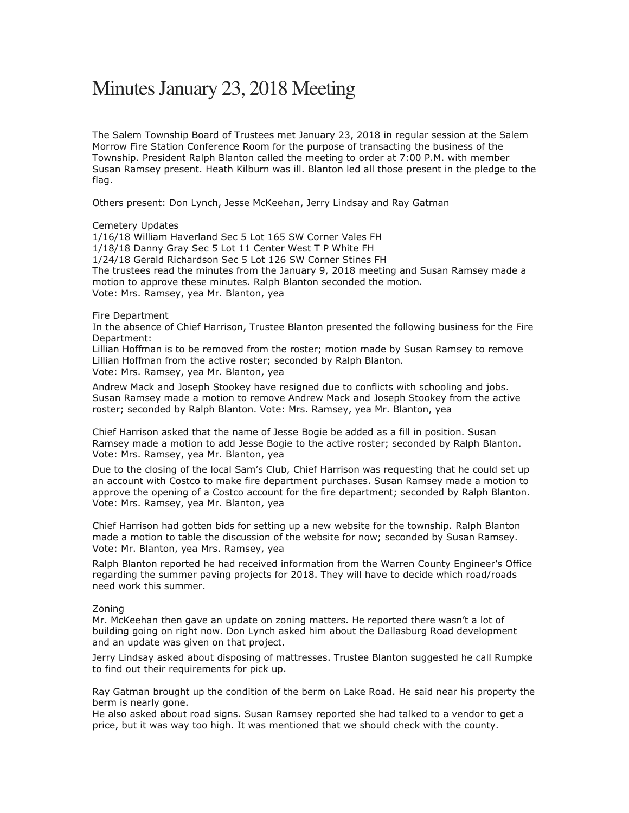## Minutes January 23, 2018 Meeting

The Salem Township Board of Trustees met January 23, 2018 in regular session at the Salem Morrow Fire Station Conference Room for the purpose of transacting the business of the Township. President Ralph Blanton called the meeting to order at 7:00 P.M. with member Susan Ramsey present. Heath Kilburn was ill. Blanton led all those present in the pledge to the flag.

Others present: Don Lynch, Jesse McKeehan, Jerry Lindsay and Ray Gatman

## Cemetery Updates

1/16/18 William Haverland Sec 5 Lot 165 SW Corner Vales FH 1/18/18 Danny Gray Sec 5 Lot 11 Center West T P White FH 1/24/18 Gerald Richardson Sec 5 Lot 126 SW Corner Stines FH The trustees read the minutes from the January 9, 2018 meeting and Susan Ramsey made a motion to approve these minutes. Ralph Blanton seconded the motion. Vote: Mrs. Ramsey, yea Mr. Blanton, yea

## Fire Department

In the absence of Chief Harrison, Trustee Blanton presented the following business for the Fire Department:

Lillian Hoffman is to be removed from the roster; motion made by Susan Ramsey to remove Lillian Hoffman from the active roster; seconded by Ralph Blanton. Vote: Mrs. Ramsey, yea Mr. Blanton, yea

Andrew Mack and Joseph Stookey have resigned due to conflicts with schooling and jobs. Susan Ramsey made a motion to remove Andrew Mack and Joseph Stookey from the active roster; seconded by Ralph Blanton. Vote: Mrs. Ramsey, yea Mr. Blanton, yea

Chief Harrison asked that the name of Jesse Bogie be added as a fill in position. Susan Ramsey made a motion to add Jesse Bogie to the active roster; seconded by Ralph Blanton. Vote: Mrs. Ramsey, yea Mr. Blanton, yea

Due to the closing of the local Sam's Club, Chief Harrison was requesting that he could set up an account with Costco to make fire department purchases. Susan Ramsey made a motion to approve the opening of a Costco account for the fire department; seconded by Ralph Blanton. Vote: Mrs. Ramsey, yea Mr. Blanton, yea

Chief Harrison had gotten bids for setting up a new website for the township. Ralph Blanton made a motion to table the discussion of the website for now; seconded by Susan Ramsey. Vote: Mr. Blanton, yea Mrs. Ramsey, yea

Ralph Blanton reported he had received information from the Warren County Engineer's Office regarding the summer paving projects for 2018. They will have to decide which road/roads need work this summer.

## Zoning

Mr. McKeehan then gave an update on zoning matters. He reported there wasn't a lot of building going on right now. Don Lynch asked him about the Dallasburg Road development and an update was given on that project.

Jerry Lindsay asked about disposing of mattresses. Trustee Blanton suggested he call Rumpke to find out their requirements for pick up.

Ray Gatman brought up the condition of the berm on Lake Road. He said near his property the berm is nearly gone.

He also asked about road signs. Susan Ramsey reported she had talked to a vendor to get a price, but it was way too high. It was mentioned that we should check with the county.